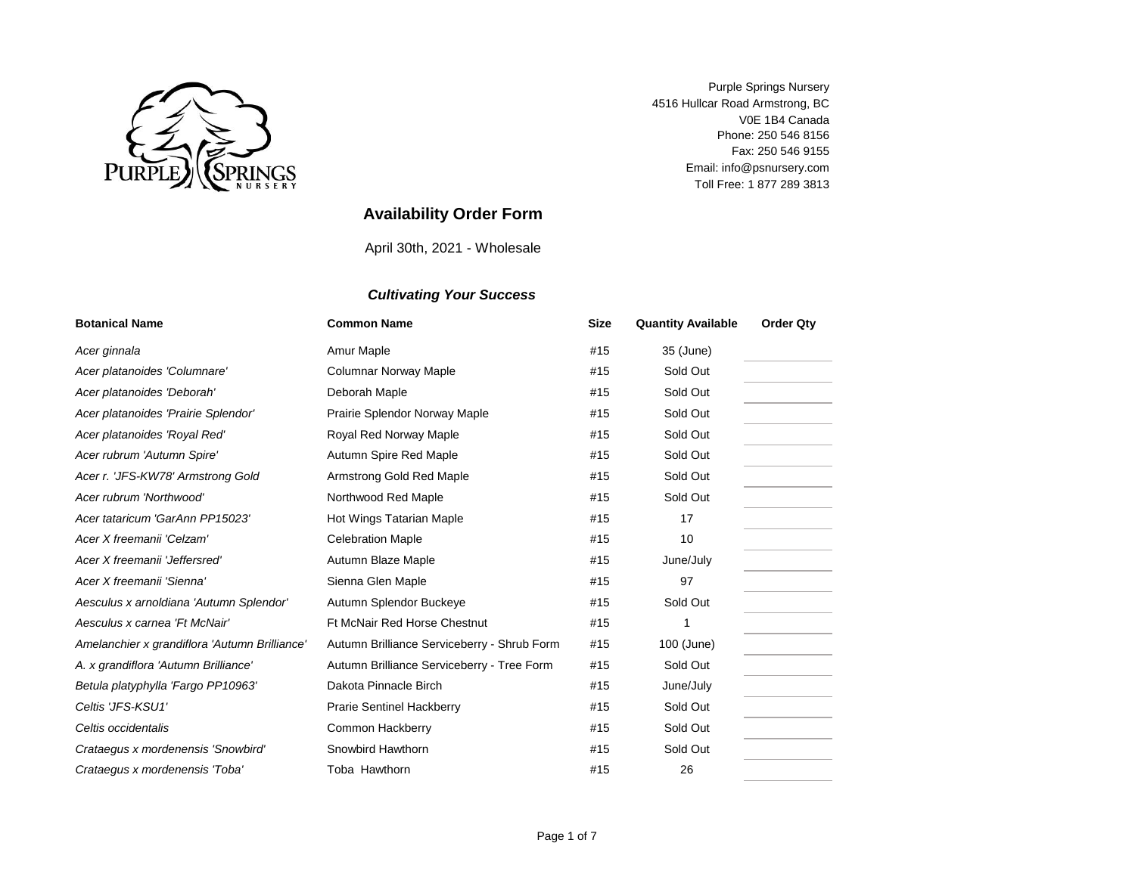

V0E 1B4 Canada Fax: 250 546 9155 Purple Springs Nursery 4516 Hullcar Road Armstrong, BC Toll Free: 1 877 289 3813 Phone: 250 546 8156 Email: info@psnursery.com

# **Availability Order Form**

April 30th, 2021 - Wholesale

| <b>Botanical Name</b>                                                | <b>Common Name</b>                          | <b>Size</b> | <b>Quantity Available</b> | <b>Order Qty</b> |
|----------------------------------------------------------------------|---------------------------------------------|-------------|---------------------------|------------------|
| Acer ginnala                                                         | Amur Maple                                  | #15         | 35 (June)                 |                  |
| Acer platanoides 'Columnare'                                         | Columnar Norway Maple                       | #15         | Sold Out                  |                  |
| Acer platanoides 'Deborah'                                           | Deborah Maple                               | #15         | Sold Out                  |                  |
| Acer platanoides 'Prairie Splendor'<br>Prairie Splendor Norway Maple |                                             | #15         | Sold Out                  |                  |
| Acer platanoides 'Royal Red'<br>Royal Red Norway Maple               |                                             | #15         | Sold Out                  |                  |
| Acer rubrum 'Autumn Spire'                                           | Autumn Spire Red Maple                      | #15         | Sold Out                  |                  |
| Acer r. 'JFS-KW78' Armstrong Gold                                    | Armstrong Gold Red Maple                    | #15         | Sold Out                  |                  |
| Acer rubrum 'Northwood'                                              | Northwood Red Maple                         | #15         | Sold Out                  |                  |
| Acer tataricum 'GarAnn PP15023'                                      | Hot Wings Tatarian Maple                    | #15         | 17                        |                  |
| Acer X freemanii 'Celzam'                                            | <b>Celebration Maple</b>                    | #15         | 10                        |                  |
| Acer X freemanii 'Jeffersred'                                        | Autumn Blaze Maple                          | #15         | June/July                 |                  |
| Acer X freemanii 'Sienna'                                            | Sienna Glen Maple                           | #15         | 97                        |                  |
| Aesculus x arnoldiana 'Autumn Splendor'                              | Autumn Splendor Buckeye                     | #15         | Sold Out                  |                  |
| Aesculus x carnea 'Ft McNair'                                        | <b>Ft McNair Red Horse Chestnut</b>         | #15         | 1                         |                  |
| Amelanchier x grandiflora 'Autumn Brilliance'                        | Autumn Brilliance Serviceberry - Shrub Form | #15         | 100 (June)                |                  |
| A. x grandiflora 'Autumn Brilliance'                                 | Autumn Brilliance Serviceberry - Tree Form  | #15         | Sold Out                  |                  |
| Betula platyphylla 'Fargo PP10963'                                   | Dakota Pinnacle Birch                       | #15         | June/July                 |                  |
| Celtis 'JFS-KSU1'                                                    | <b>Prarie Sentinel Hackberry</b>            | #15         | Sold Out                  |                  |
| Celtis occidentalis                                                  | Common Hackberry                            | #15         | Sold Out                  |                  |
| Crataegus x mordenensis 'Snowbird'                                   | Snowbird Hawthorn                           | #15         | Sold Out                  |                  |
| Crataegus x mordenensis 'Toba'                                       | Toba Hawthorn                               | #15         | 26                        |                  |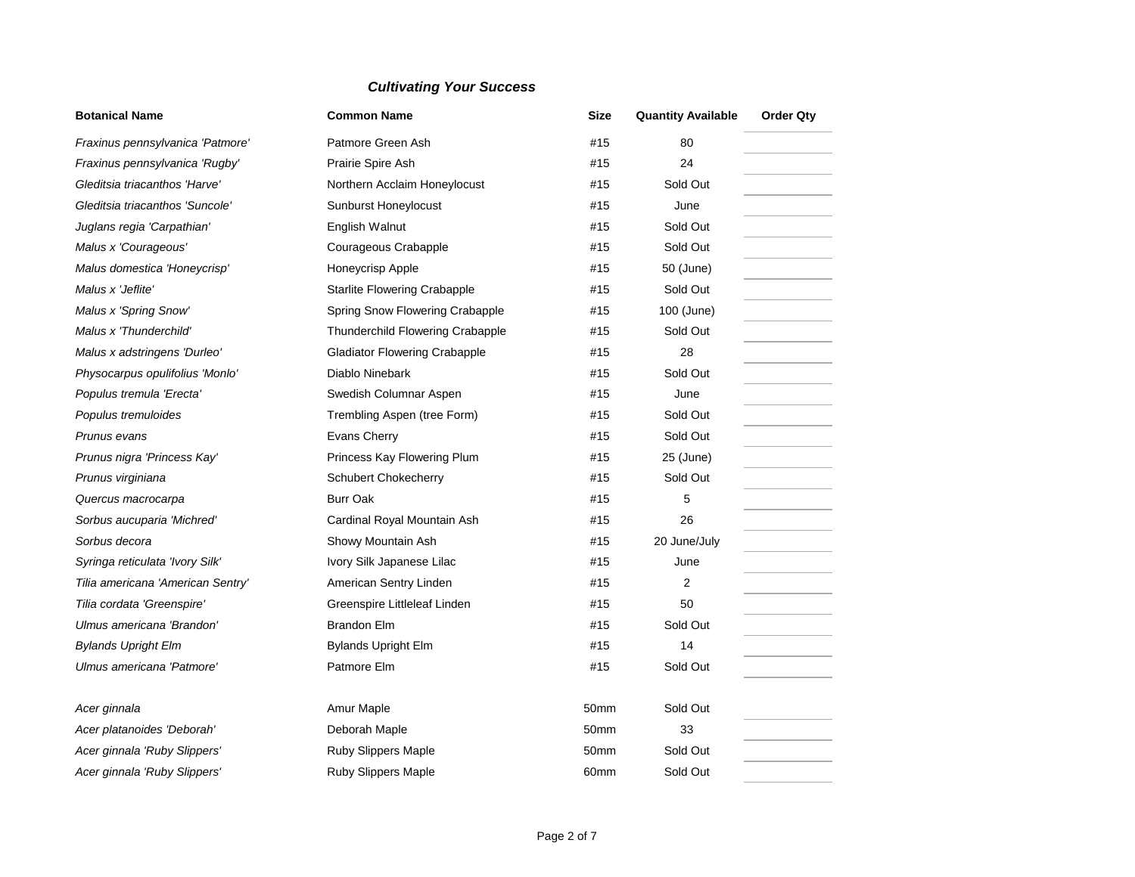| <b>Botanical Name</b><br><b>Common Name</b><br>Patmore Green Ash<br>Fraxinus pennsylvanica 'Patmore' |                                      | <b>Size</b>      | <b>Quantity Available</b> | <b>Order Qty</b> |
|------------------------------------------------------------------------------------------------------|--------------------------------------|------------------|---------------------------|------------------|
|                                                                                                      |                                      | #15              | 80                        |                  |
| Fraxinus pennsylvanica 'Rugby'                                                                       | Prairie Spire Ash                    |                  | 24                        |                  |
| Gleditsia triacanthos 'Harve'                                                                        | Northern Acclaim Honeylocust         | #15              | Sold Out                  |                  |
| Gleditsia triacanthos 'Suncole'                                                                      | Sunburst Honeylocust                 | #15              | June                      |                  |
| Juglans regia 'Carpathian'                                                                           | English Walnut                       | #15              | Sold Out                  |                  |
| Malus x 'Courageous'                                                                                 | Courageous Crabapple                 | #15              | Sold Out                  |                  |
| Malus domestica 'Honeycrisp'                                                                         | Honeycrisp Apple                     | #15              | 50 (June)                 |                  |
| Malus x 'Jeflite'                                                                                    | <b>Starlite Flowering Crabapple</b>  | #15              | Sold Out                  |                  |
| Malus x 'Spring Snow'                                                                                | Spring Snow Flowering Crabapple      | #15              | 100 (June)                |                  |
| Malus x 'Thunderchild'                                                                               | Thunderchild Flowering Crabapple     | #15              | Sold Out                  |                  |
| Malus x adstringens 'Durleo'                                                                         | <b>Gladiator Flowering Crabapple</b> | #15              | 28                        |                  |
| Physocarpus opulifolius 'Monlo'                                                                      | Diablo Ninebark                      | #15              | Sold Out                  |                  |
| Populus tremula 'Erecta'                                                                             | Swedish Columnar Aspen               | #15              | June                      |                  |
| Populus tremuloides                                                                                  | Trembling Aspen (tree Form)          | #15              | Sold Out                  |                  |
| Prunus evans                                                                                         | Evans Cherry                         | #15              | Sold Out                  |                  |
| Prunus nigra 'Princess Kay'                                                                          | Princess Kay Flowering Plum          | #15              | 25 (June)                 |                  |
| Prunus virginiana                                                                                    | Schubert Chokecherry                 | #15              | Sold Out                  |                  |
| Quercus macrocarpa                                                                                   | <b>Burr Oak</b>                      | #15              | 5                         |                  |
| Sorbus aucuparia 'Michred'                                                                           | Cardinal Royal Mountain Ash          | #15              | 26                        |                  |
| Sorbus decora                                                                                        | Showy Mountain Ash                   | #15              | 20 June/July              |                  |
| Syringa reticulata 'Ivory Silk'                                                                      | Ivory Silk Japanese Lilac            | #15              | June                      |                  |
| Tilia americana 'American Sentry'                                                                    | American Sentry Linden               | #15              | 2                         |                  |
| Tilia cordata 'Greenspire'                                                                           | Greenspire Littleleaf Linden         | #15              | 50                        |                  |
| Ulmus americana 'Brandon'                                                                            | <b>Brandon Elm</b>                   | #15              | Sold Out                  |                  |
| <b>Bylands Upright Elm</b>                                                                           | <b>Bylands Upright Elm</b>           | #15              | 14                        |                  |
| Ulmus americana 'Patmore'                                                                            | Patmore Elm                          | #15              | Sold Out                  |                  |
| Acer ginnala                                                                                         | Amur Maple                           | 50mm             | Sold Out                  |                  |
| Acer platanoides 'Deborah'                                                                           | Deborah Maple                        | 50mm             | 33                        |                  |
| Acer ginnala 'Ruby Slippers'<br>Ruby Slippers Maple                                                  |                                      | 50 <sub>mm</sub> | Sold Out                  |                  |
| Acer ginnala 'Ruby Slippers'                                                                         | Ruby Slippers Maple                  | 60mm             | Sold Out                  |                  |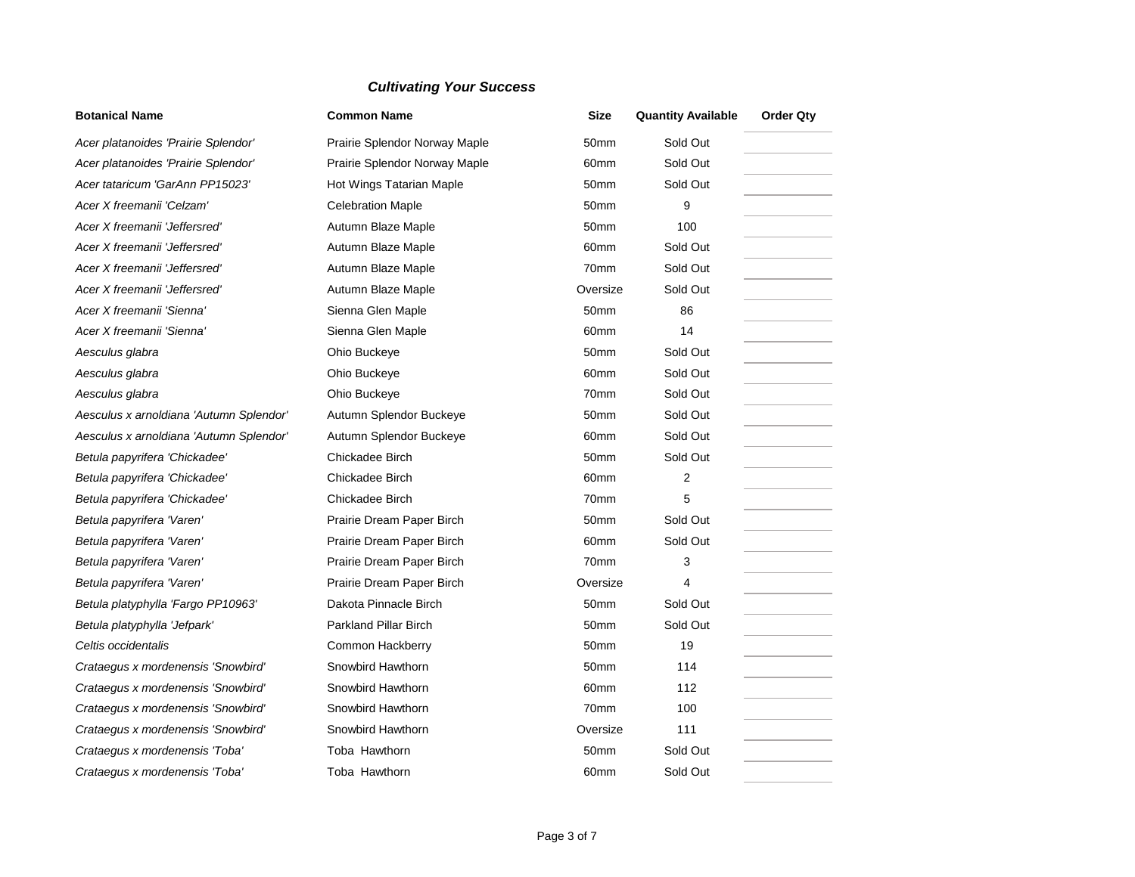| <b>Botanical Name</b>                   | <b>Common Name</b>            | <b>Size</b>      | <b>Quantity Available</b> | <b>Order Qty</b> |
|-----------------------------------------|-------------------------------|------------------|---------------------------|------------------|
| Acer platanoides 'Prairie Splendor'     | Prairie Splendor Norway Maple | 50mm             | Sold Out                  |                  |
| Acer platanoides 'Prairie Splendor'     | Prairie Splendor Norway Maple | 60mm             | Sold Out                  |                  |
| Acer tataricum 'GarAnn PP15023'         | Hot Wings Tatarian Maple      | 50mm             | Sold Out                  |                  |
| Acer X freemanii 'Celzam'               | <b>Celebration Maple</b>      | 50mm             | 9                         |                  |
| Acer X freemanii 'Jeffersred'           | Autumn Blaze Maple            | 50mm             | 100                       |                  |
| Acer X freemanii 'Jeffersred'           | Autumn Blaze Maple            | 60mm             | Sold Out                  |                  |
| Acer X freemanii 'Jeffersred'           | Autumn Blaze Maple            | 70mm             | Sold Out                  |                  |
| Acer X freemanii 'Jeffersred'           | Autumn Blaze Maple            | Oversize         | Sold Out                  |                  |
| Acer X freemanii 'Sienna'               | Sienna Glen Maple             | 50mm             | 86                        |                  |
| Acer X freemanii 'Sienna'               | Sienna Glen Maple             | 60 <sub>mm</sub> | 14                        |                  |
| Aesculus glabra                         | Ohio Buckeye                  | 50mm             | Sold Out                  |                  |
| Aesculus glabra                         | Ohio Buckeye                  | 60mm             | Sold Out                  |                  |
| Aesculus glabra                         | Ohio Buckeye                  | 70mm             | Sold Out                  |                  |
| Aesculus x arnoldiana 'Autumn Splendor' | Autumn Splendor Buckeye       | 50mm             | Sold Out                  |                  |
| Aesculus x arnoldiana 'Autumn Splendor' | Autumn Splendor Buckeye       | 60mm             | Sold Out                  |                  |
| Betula papyrifera 'Chickadee'           | Chickadee Birch               | 50mm             | Sold Out                  |                  |
| Betula papyrifera 'Chickadee'           | Chickadee Birch               | 60mm             | 2                         |                  |
| Betula papyrifera 'Chickadee'           | Chickadee Birch               | 70mm             | 5                         |                  |
| Betula papyrifera 'Varen'               | Prairie Dream Paper Birch     | 50mm             | Sold Out                  |                  |
| Betula papyrifera 'Varen'               | Prairie Dream Paper Birch     | 60mm             | Sold Out                  |                  |
| Betula papyrifera 'Varen'               | Prairie Dream Paper Birch     | 70mm             | 3                         |                  |
| Betula papyrifera 'Varen'               | Prairie Dream Paper Birch     | Oversize         | 4                         |                  |
| Betula platyphylla 'Fargo PP10963'      | Dakota Pinnacle Birch         | 50mm             | Sold Out                  |                  |
| Betula platyphylla 'Jefpark'            | Parkland Pillar Birch         | 50mm             | Sold Out                  |                  |
| Celtis occidentalis                     | Common Hackberry              | 50mm             | 19                        |                  |
| Crataegus x mordenensis 'Snowbird'      | Snowbird Hawthorn             | 50mm             | 114                       |                  |
| Crataegus x mordenensis 'Snowbird'      | Snowbird Hawthorn             | 60mm             | 112                       |                  |
| Crataegus x mordenensis 'Snowbird'      | Snowbird Hawthorn             | 70mm             | 100                       |                  |
| Crataegus x mordenensis 'Snowbird'      | Snowbird Hawthorn             | Oversize         | 111                       |                  |
| Crataegus x mordenensis 'Toba'          | Toba Hawthorn                 | 50mm             | Sold Out                  |                  |
| Crataegus x mordenensis 'Toba'          | Toba Hawthorn                 | 60mm             | Sold Out                  |                  |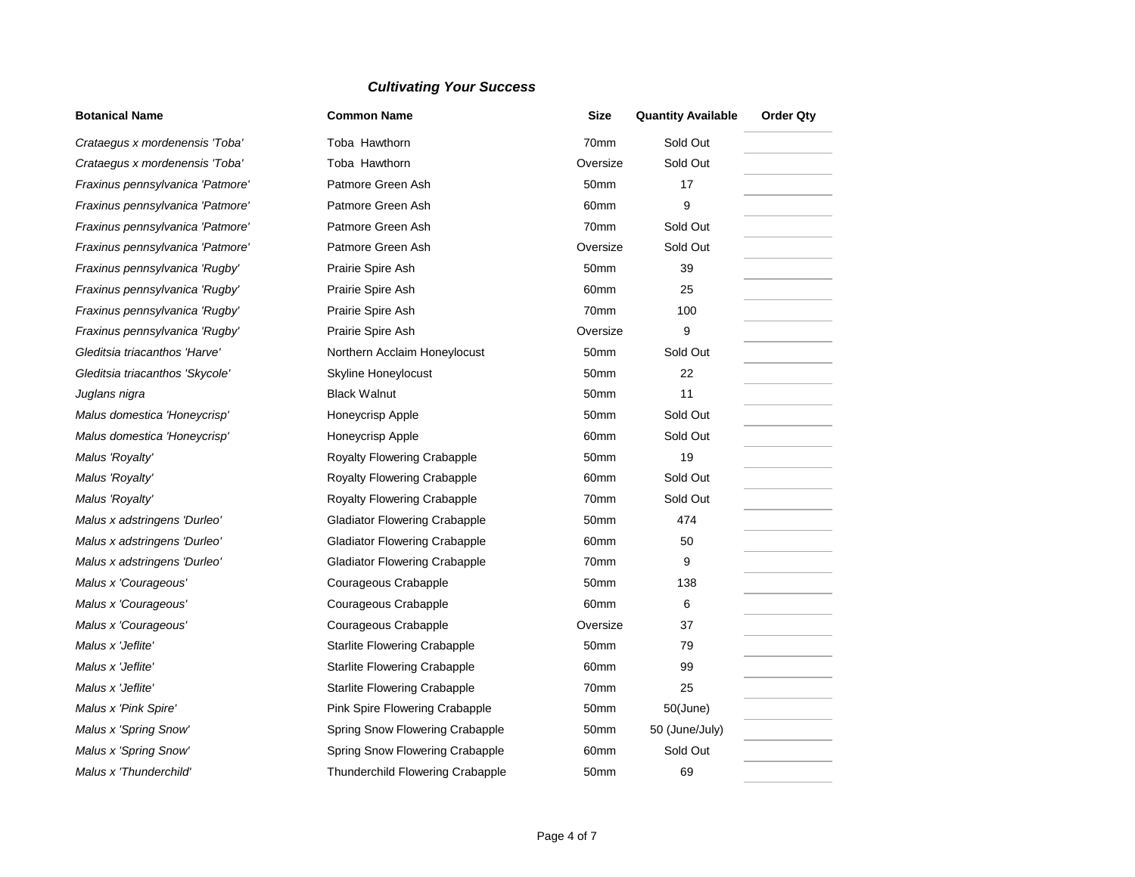#### **Botanical Name**

**Crataegus x mordenensis 'Toba' Crataegus x mordenensis 'Toba' Fraxinus pennsylvanica 'Patmore Fraxinus pennsylvanica 'Patmore Fraxinus pennsylvanica 'Patmore Fraxinus pennsylvanica 'Patmore Fraxinus pennsylvanica 'Rugby'** *Fraxinus pennsylvanica 'Rugby' Fraxinus pennsylvanica 'Rugby' Fraxinus pennsylvanica 'Rugby'* **Gleditsia triacanthos 'Harve'** *Gleditsia triacanthos 'Skycole'* **Juglans nigra** *Malus domestica 'Honeycrisp' Malus domestica 'Honeycrisp' Malus 'Royalty' Malus 'Royalty' Malus 'Royalty' Malus x adstringens 'Durleo' Malus x adstringens 'Durleo' Malus x adstringens 'Durleo'* **Malus x 'Courageous'** *Malus x 'Courageous' Malus x 'Courageous' Malus x 'Jeflite' Malus x 'Jeflite' Malus x 'Jeflite' Malus x 'Pink Spire' Malus x 'Spring Snow' Malus x 'Spring Snow' Malus x 'Thunderchild'* 

|    | <b>Common Name</b>                   | Size     | <b>Quantity Available</b> | <b>Order Qty</b> |
|----|--------------------------------------|----------|---------------------------|------------------|
| ı  | Toba Hawthorn                        | 70mm     | Sold Out                  |                  |
| ı  | Toba Hawthorn                        | Oversize | Sold Out                  |                  |
| e' | Patmore Green Ash                    | 50mm     | 17                        |                  |
| e' | Patmore Green Ash                    | 60mm     | 9                         |                  |
| e' | Patmore Green Ash                    | 70mm     | Sold Out                  |                  |
| e' | Patmore Green Ash                    | Oversize | Sold Out                  |                  |
|    | Prairie Spire Ash                    | 50mm     | 39                        |                  |
|    | Prairie Spire Ash                    | 60mm     | 25                        |                  |
|    | Prairie Spire Ash                    | 70mm     | 100                       |                  |
|    | Prairie Spire Ash                    | Oversize | $\boldsymbol{9}$          |                  |
|    | Northern Acclaim Honeylocust         | 50mm     | Sold Out                  |                  |
|    | Skyline Honeylocust                  | 50mm     | 22                        |                  |
|    | <b>Black Walnut</b>                  | 50mm     | 11                        |                  |
|    | Honeycrisp Apple                     | 50mm     | Sold Out                  |                  |
|    | Honeycrisp Apple                     | 60mm     | Sold Out                  |                  |
|    | Royalty Flowering Crabapple          | 50mm     | 19                        |                  |
|    | Royalty Flowering Crabapple          | 60mm     | Sold Out                  |                  |
|    | <b>Royalty Flowering Crabapple</b>   | 70mm     | Sold Out                  |                  |
|    | <b>Gladiator Flowering Crabapple</b> | 50mm     | 474                       |                  |
|    | <b>Gladiator Flowering Crabapple</b> | 60mm     | 50                        |                  |
|    | <b>Gladiator Flowering Crabapple</b> | 70mm     | 9                         |                  |
|    | Courageous Crabapple                 | 50mm     | 138                       |                  |
|    | Courageous Crabapple                 | 60mm     | 6                         |                  |
|    | Courageous Crabapple                 | Oversize | 37                        |                  |
|    | <b>Starlite Flowering Crabapple</b>  | 50mm     | 79                        |                  |
|    | <b>Starlite Flowering Crabapple</b>  | 60mm     | 99                        |                  |
|    | <b>Starlite Flowering Crabapple</b>  | 70mm     | 25                        |                  |
|    | Pink Spire Flowering Crabapple       | 50mm     | $50$ (June)               |                  |
|    | Spring Snow Flowering Crabapple      | 50mm     | 50 (June/July)            |                  |
|    | Spring Snow Flowering Crabapple      | 60mm     | Sold Out                  |                  |
|    | Thunderchild Flowering Crabapple     | 50mm     | 69                        |                  |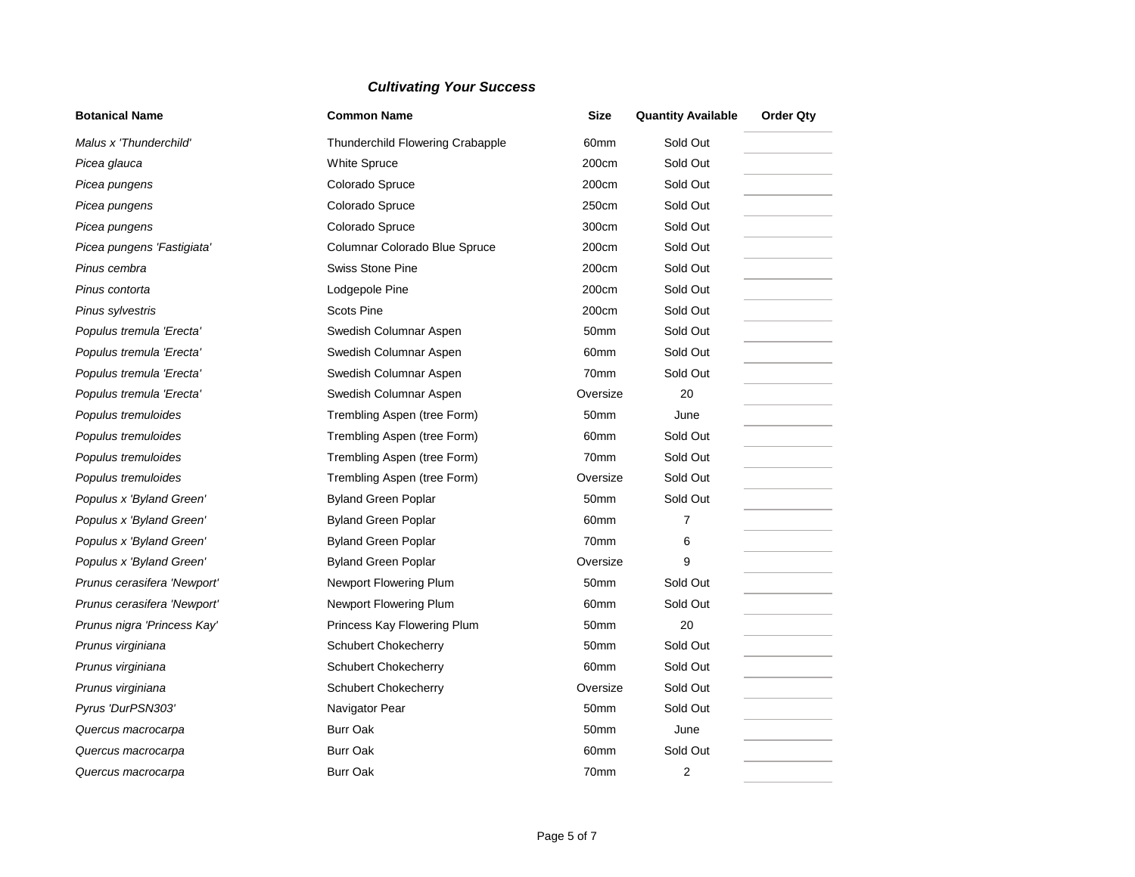| <b>Botanical Name</b>       | <b>Common Name</b>               | <b>Size</b> | <b>Quantity Available</b> | <b>Order Qty</b> |
|-----------------------------|----------------------------------|-------------|---------------------------|------------------|
| Malus x 'Thunderchild'      | Thunderchild Flowering Crabapple | 60mm        | Sold Out                  |                  |
| Picea glauca                | White Spruce                     | 200cm       | Sold Out                  |                  |
| Picea pungens               | Colorado Spruce                  | 200cm       | Sold Out                  |                  |
| Picea pungens               | Colorado Spruce                  | 250cm       | Sold Out                  |                  |
| Picea pungens               | Colorado Spruce                  | 300cm       | Sold Out                  |                  |
| Picea pungens 'Fastigiata'  | Columnar Colorado Blue Spruce    | 200cm       | Sold Out                  |                  |
| Pinus cembra                | <b>Swiss Stone Pine</b>          | 200cm       | Sold Out                  |                  |
| Pinus contorta              | Lodgepole Pine                   | 200cm       | Sold Out                  |                  |
| Pinus sylvestris            | <b>Scots Pine</b>                | 200cm       | Sold Out                  |                  |
| Populus tremula 'Erecta'    | Swedish Columnar Aspen           | 50mm        | Sold Out                  |                  |
| Populus tremula 'Erecta'    | Swedish Columnar Aspen           | 60mm        | Sold Out                  |                  |
| Populus tremula 'Erecta'    | Swedish Columnar Aspen           | 70mm        | Sold Out                  |                  |
| Populus tremula 'Erecta'    | Swedish Columnar Aspen           | Oversize    | 20                        |                  |
| Populus tremuloides         | Trembling Aspen (tree Form)      | 50mm        | June                      |                  |
| Populus tremuloides         | Trembling Aspen (tree Form)      | 60mm        | Sold Out                  |                  |
| Populus tremuloides         | Trembling Aspen (tree Form)      | 70mm        | Sold Out                  |                  |
| Populus tremuloides         | Trembling Aspen (tree Form)      | Oversize    | Sold Out                  |                  |
| Populus x 'Byland Green'    | <b>Byland Green Poplar</b>       | 50mm        | Sold Out                  |                  |
| Populus x 'Byland Green'    | <b>Byland Green Poplar</b>       | 60mm        | 7                         |                  |
| Populus x 'Byland Green'    | <b>Byland Green Poplar</b>       | 70mm        | 6                         |                  |
| Populus x 'Byland Green'    | <b>Byland Green Poplar</b>       | Oversize    | 9                         |                  |
| Prunus cerasifera 'Newport' | Newport Flowering Plum           | 50mm        | Sold Out                  |                  |
| Prunus cerasifera 'Newport' | Newport Flowering Plum           | 60mm        | Sold Out                  |                  |
| Prunus nigra 'Princess Kay' | Princess Kay Flowering Plum      | 50mm        | 20                        |                  |
| Prunus virginiana           | <b>Schubert Chokecherry</b>      | 50mm        | Sold Out                  |                  |
| Prunus virginiana           | Schubert Chokecherry             | 60mm        | Sold Out                  |                  |
| Prunus virginiana           | <b>Schubert Chokecherry</b>      | Oversize    | Sold Out                  |                  |
| Pyrus 'DurPSN303'           | Navigator Pear                   | 50mm        | Sold Out                  |                  |
| Quercus macrocarpa          | <b>Burr Oak</b>                  | 50mm        | June                      |                  |
| Quercus macrocarpa          | <b>Burr Oak</b>                  | 60mm        | Sold Out                  |                  |
| Quercus macrocarpa          | <b>Burr Oak</b>                  | 70mm        | $\overline{2}$            |                  |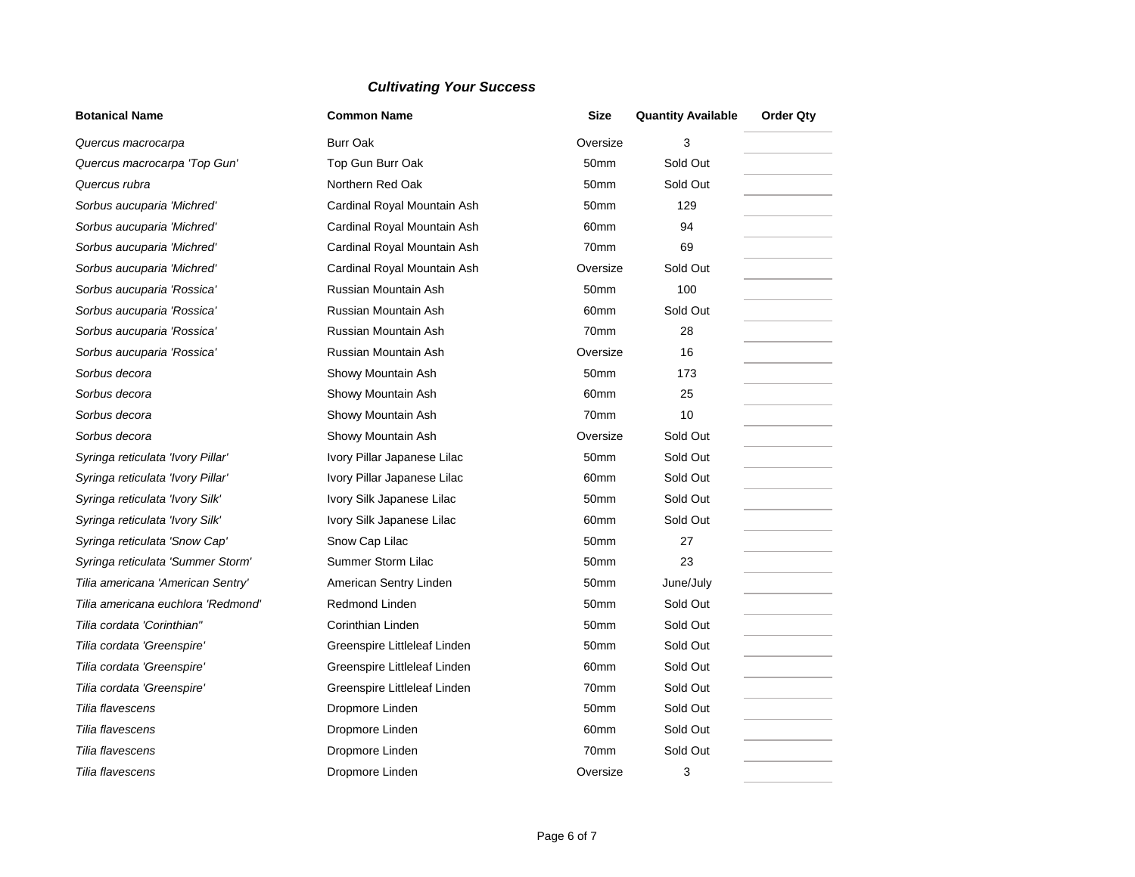| <b>Botanical Name</b><br><b>Common Name</b> |                              | <b>Size</b>      | <b>Quantity Available</b> | <b>Order Qty</b> |
|---------------------------------------------|------------------------------|------------------|---------------------------|------------------|
| Quercus macrocarpa                          | <b>Burr Oak</b>              | Oversize         | 3                         |                  |
| Quercus macrocarpa 'Top Gun'                | Top Gun Burr Oak             | 50 <sub>mm</sub> | Sold Out                  |                  |
| Quercus rubra                               | Northern Red Oak             | 50mm             | Sold Out                  |                  |
| Sorbus aucuparia 'Michred'                  | Cardinal Royal Mountain Ash  | 50mm             | 129                       |                  |
| Sorbus aucuparia 'Michred'                  | Cardinal Royal Mountain Ash  | 60mm             | 94                        |                  |
| Sorbus aucuparia 'Michred'                  | Cardinal Royal Mountain Ash  | 70mm             | 69                        |                  |
| Sorbus aucuparia 'Michred'                  | Cardinal Royal Mountain Ash  | Oversize         | Sold Out                  |                  |
| Sorbus aucuparia 'Rossica'                  | Russian Mountain Ash         | 50mm             | 100                       |                  |
| Sorbus aucuparia 'Rossica'                  | Russian Mountain Ash         | 60mm             | Sold Out                  |                  |
| Sorbus aucuparia 'Rossica'                  | Russian Mountain Ash         | 70mm             | 28                        |                  |
| Sorbus aucuparia 'Rossica'                  | Russian Mountain Ash         | Oversize         | 16                        |                  |
| Sorbus decora                               | Showy Mountain Ash           | 50mm             | 173                       |                  |
| Sorbus decora                               | Showy Mountain Ash           | 60mm             | 25                        |                  |
| Sorbus decora                               | Showy Mountain Ash           | 70mm             | 10                        |                  |
| Sorbus decora                               | Showy Mountain Ash           | Oversize         | Sold Out                  |                  |
| Syringa reticulata 'Ivory Pillar'           | Ivory Pillar Japanese Lilac  | 50mm             | Sold Out                  |                  |
| Syringa reticulata 'Ivory Pillar'           | Ivory Pillar Japanese Lilac  | 60mm             | Sold Out                  |                  |
| Syringa reticulata 'Ivory Silk'             | Ivory Silk Japanese Lilac    | 50mm             | Sold Out                  |                  |
| Syringa reticulata 'Ivory Silk'             | Ivory Silk Japanese Lilac    | 60mm             | Sold Out                  |                  |
| Syringa reticulata 'Snow Cap'               | Snow Cap Lilac               | 50mm             | 27                        |                  |
| Syringa reticulata 'Summer Storm'           | Summer Storm Lilac           | 50mm             | 23                        |                  |
| Tilia americana 'American Sentry'           | American Sentry Linden       | 50mm             | June/July                 |                  |
| Tilia americana euchlora 'Redmond'          | <b>Redmond Linden</b>        | 50mm             | Sold Out                  |                  |
| Tilia cordata 'Corinthian"                  | Corinthian Linden            | 50mm             | Sold Out                  |                  |
| Tilia cordata 'Greenspire'                  | Greenspire Littleleaf Linden | 50mm             | Sold Out                  |                  |
| Tilia cordata 'Greenspire'                  | Greenspire Littleleaf Linden | 60mm             | Sold Out                  |                  |
| Tilia cordata 'Greenspire'                  | Greenspire Littleleaf Linden | 70mm             | Sold Out                  |                  |
| Tilia flavescens                            | Dropmore Linden              | 50mm             | Sold Out                  |                  |
| Tilia flavescens                            | Dropmore Linden              | 60mm             | Sold Out                  |                  |
| Tilia flavescens                            | Dropmore Linden              | 70mm             | Sold Out                  |                  |
| Tilia flavescens                            | Dropmore Linden              | Oversize         | 3                         |                  |